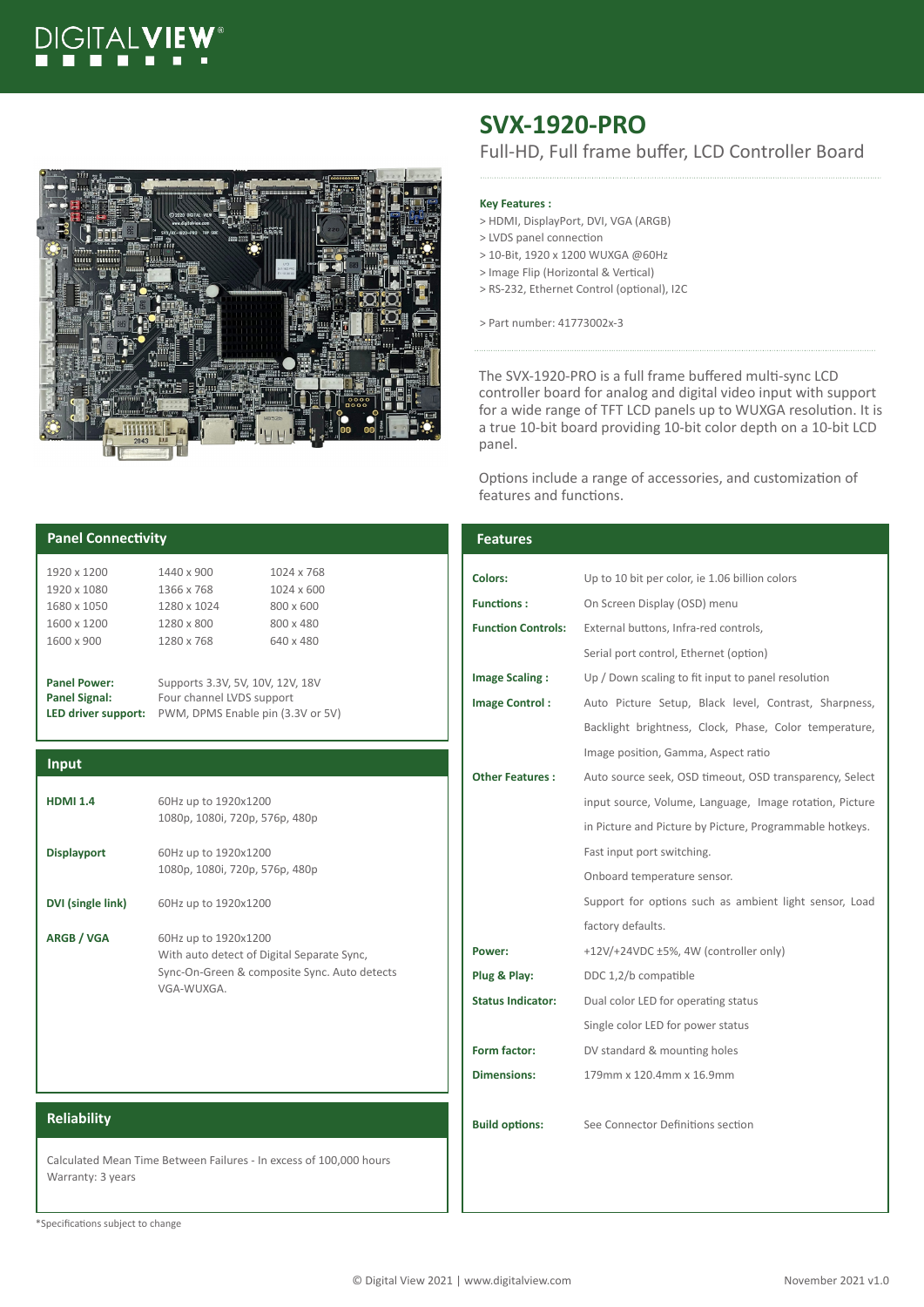# DIGITAI



# **SVX-1920-PRO**

Full-HD, Full frame buffer, LCD Controller Board

### **Key Features :**

- > HDMI, DisplayPort, DVI, VGA (ARGB)
- > LVDS panel connection
- > 10-Bit, 1920 x 1200 WUXGA @60Hz > Image Flip (Horizontal & Vertical)
- > RS-232, Ethernet Control (optional), I2C
- > Part number: 41773002x-3

The SVX-1920-PRO is a full frame buffered multi-sync LCD controller board for analog and digital video input with support for a wide range of TFT LCD panels up to WUXGA resolution. It is a true 10-bit board providing 10-bit color depth on a 10-bit LCD panel.

Options include a range of accessories, and customization of features and functions.

| <b>Panel Connectivity</b>                                                               |                                                                | <b>Features</b>           |                                                          |  |
|-----------------------------------------------------------------------------------------|----------------------------------------------------------------|---------------------------|----------------------------------------------------------|--|
| 1920 x 1200<br>1920 x 1080                                                              | 1440 x 900<br>1024 x 768<br>1366 x 768<br>1024 x 600           | <b>Colors:</b>            | Up to 10 bit per color, ie 1.06 billion colors           |  |
| 1680 x 1050                                                                             | 1280 x 1024<br>800 x 600                                       | <b>Functions:</b>         | On Screen Display (OSD) menu                             |  |
| 1600 x 1200<br>1600 x 900                                                               | 1280 x 800<br>800 x 480<br>1280 x 768<br>640 x 480             | <b>Function Controls:</b> | External buttons, Infra-red controls,                    |  |
|                                                                                         |                                                                |                           | Serial port control, Ethernet (option)                   |  |
| <b>Panel Power:</b>                                                                     | Supports 3.3V, 5V, 10V, 12V, 18V                               | <b>Image Scaling:</b>     | Up / Down scaling to fit input to panel resolution       |  |
| <b>Panel Signal:</b><br>LED driver support:                                             | Four channel LVDS support<br>PWM, DPMS Enable pin (3.3V or 5V) | <b>Image Control:</b>     | Auto Picture Setup, Black level, Contrast, Sharpness,    |  |
|                                                                                         |                                                                |                           | Backlight brightness, Clock, Phase, Color temperature,   |  |
|                                                                                         |                                                                |                           | Image position, Gamma, Aspect ratio                      |  |
| Input                                                                                   |                                                                | <b>Other Features:</b>    | Auto source seek, OSD timeout, OSD transparency, Select  |  |
| <b>HDMI 1.4</b>                                                                         | 60Hz up to 1920x1200<br>1080p, 1080i, 720p, 576p, 480p         |                           | input source, Volume, Language, Image rotation, Picture  |  |
|                                                                                         |                                                                |                           | in Picture and Picture by Picture, Programmable hotkeys. |  |
| <b>Displayport</b>                                                                      | 60Hz up to 1920x1200<br>1080p, 1080i, 720p, 576p, 480p         |                           | Fast input port switching.                               |  |
|                                                                                         |                                                                |                           | Onboard temperature sensor.                              |  |
| DVI (single link)                                                                       | 60Hz up to 1920x1200                                           |                           | Support for options such as ambient light sensor, Load   |  |
| ARGB / VGA                                                                              | 60Hz up to 1920x1200                                           |                           | factory defaults.                                        |  |
|                                                                                         | With auto detect of Digital Separate Sync,                     | Power:                    | +12V/+24VDC ±5%, 4W (controller only)                    |  |
|                                                                                         | Sync-On-Green & composite Sync. Auto detects                   | Plug & Play:              | DDC 1,2/b compatible                                     |  |
|                                                                                         | VGA-WUXGA.                                                     | <b>Status Indicator:</b>  | Dual color LED for operating status                      |  |
|                                                                                         |                                                                |                           | Single color LED for power status                        |  |
|                                                                                         |                                                                | Form factor:              | DV standard & mounting holes                             |  |
|                                                                                         |                                                                | <b>Dimensions:</b>        | 179mm x 120.4mm x 16.9mm                                 |  |
| <b>Reliability</b>                                                                      |                                                                | <b>Build options:</b>     | See Connector Definitions section                        |  |
| Calculated Mean Time Between Failures - In excess of 100,000 hours<br>Warranty: 3 years |                                                                |                           |                                                          |  |

\*Specifications subject to change